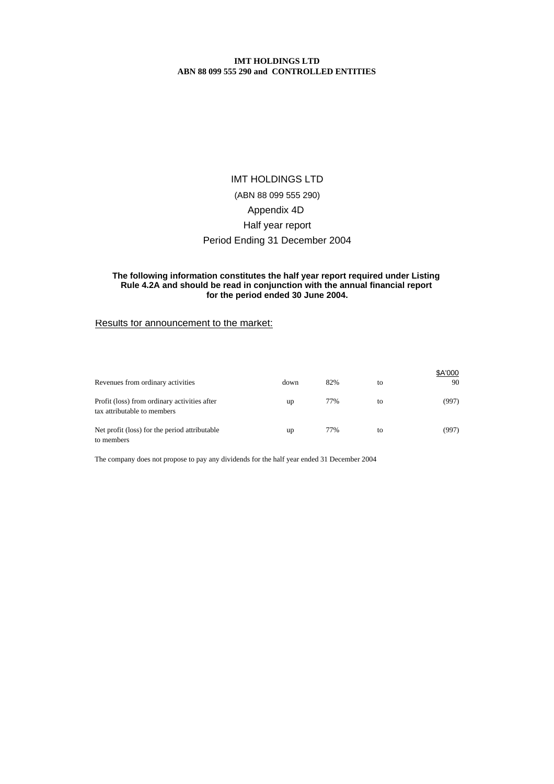# Period Ending 31 December 2004 IMT HOLDINGS LTD (ABN 88 099 555 290) Appendix 4D Half year report

## **The following information constitutes the half year report required under Listing Rule 4.2A and should be read in conjunction with the annual financial report for the period ended 30 June 2004.**

# Results for announcement to the market:

| Revenues from ordinary activities                                           | down | 82% | to | \$A'000<br>90 |
|-----------------------------------------------------------------------------|------|-----|----|---------------|
| Profit (loss) from ordinary activities after<br>tax attributable to members | up   | 77% | to | (997)         |
| Net profit (loss) for the period attributable<br>to members                 | up   | 77% | to | (997)         |

The company does not propose to pay any dividends for the half year ended 31 December 2004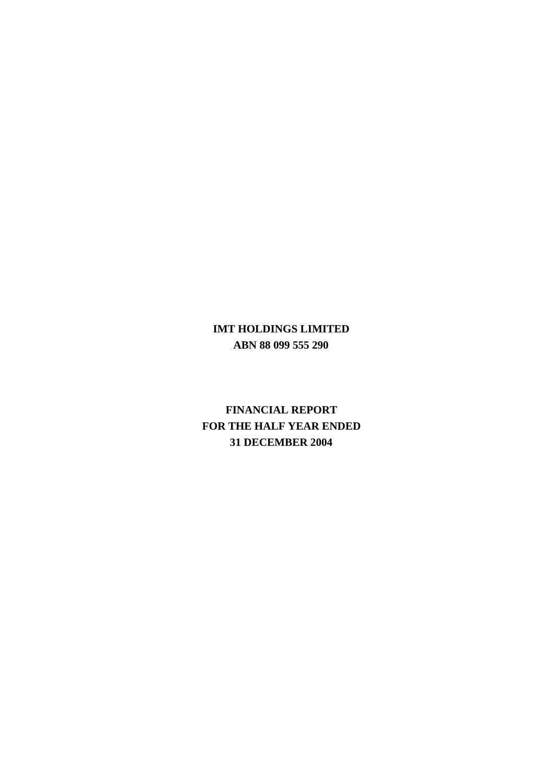# **IMT HOLDINGS LIMITED ABN 88 099 555 290**

**FINANCIAL REPORT FOR THE HALF YEAR ENDED 31 DECEMBER 2004**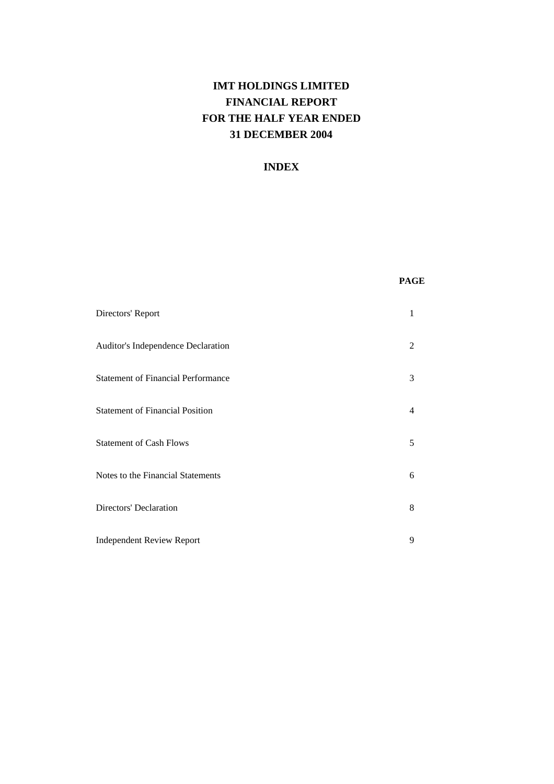# **IMT HOLDINGS LIMITED FINANCIAL REPORT FOR THE HALF YEAR ENDED 31 DECEMBER 2004**

# **INDEX**

| Directors' Report                         |                |
|-------------------------------------------|----------------|
| Auditor's Independence Declaration        | $\mathfrak{D}$ |
| <b>Statement of Financial Performance</b> | 3              |
| <b>Statement of Financial Position</b>    | 4              |
| <b>Statement of Cash Flows</b>            | 5              |
| Notes to the Financial Statements         | 6              |
| Directors' Declaration                    | 8              |
| <b>Independent Review Report</b>          | 9              |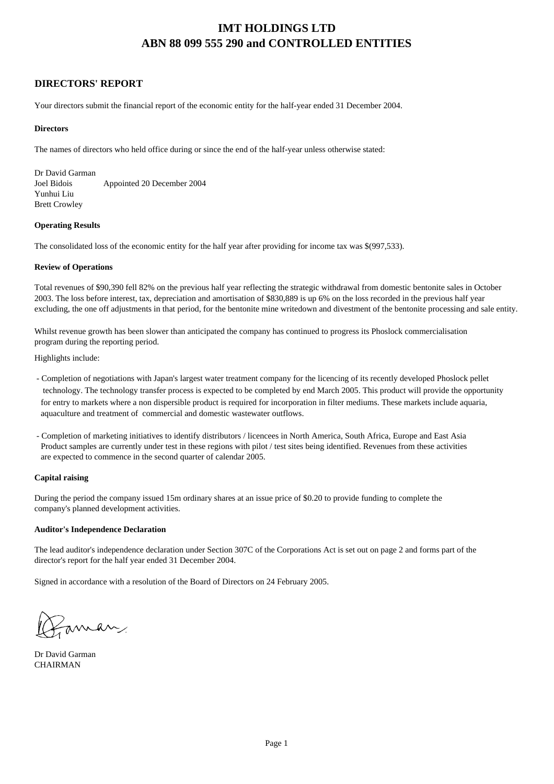# **DIRECTORS' REPORT**

Your directors submit the financial report of the economic entity for the half-year ended 31 December 2004.

### **Directors**

The names of directors who held office during or since the end of the half-year unless otherwise stated:

Dr David Garman Joel Bidois Appointed 20 December 2004 Yunhui Liu Brett Crowley

### **Operating Results**

The consolidated loss of the economic entity for the half year after providing for income tax was \$(997,533).

### **Review of Operations**

Total revenues of \$90,390 fell 82% on the previous half year reflecting the strategic withdrawal from domestic bentonite sales in October 2003. The loss before interest, tax, depreciation and amortisation of \$830,889 is up 6% on the loss recorded in the previous half year excluding, the one off adjustments in that period, for the bentonite mine writedown and divestment of the bentonite processing and sale entity.

Whilst revenue growth has been slower than anticipated the company has continued to progress its Phoslock commercialisation program during the reporting period.

Highlights include:

- Completion of negotiations with Japan's largest water treatment company for the licencing of its recently developed Phoslock pellet technology. The technology transfer process is expected to be completed by end March 2005. This product will provide the opportunity for entry to markets where a non dispersible product is required for incorporation in filter mediums. These markets include aquaria, aquaculture and treatment of commercial and domestic wastewater outflows.
- Product samples are currently under test in these regions with pilot / test sites being identified. Revenues from these activities are expected to commence in the second quarter of calendar 2005. - Completion of marketing initiatives to identify distributors / licencees in North America, South Africa, Europe and East Asia

### **Capital raising**

During the period the company issued 15m ordinary shares at an issue price of \$0.20 to provide funding to complete the company's planned development activities.

### **Auditor's Independence Declaration**

The lead auditor's independence declaration under Section 307C of the Corporations Act is set out on page 2 and forms part of the director's report for the half year ended 31 December 2004.

Signed in accordance with a resolution of the Board of Directors on 24 February 2005.

Zaman

Dr David Garman **CHAIRMAN**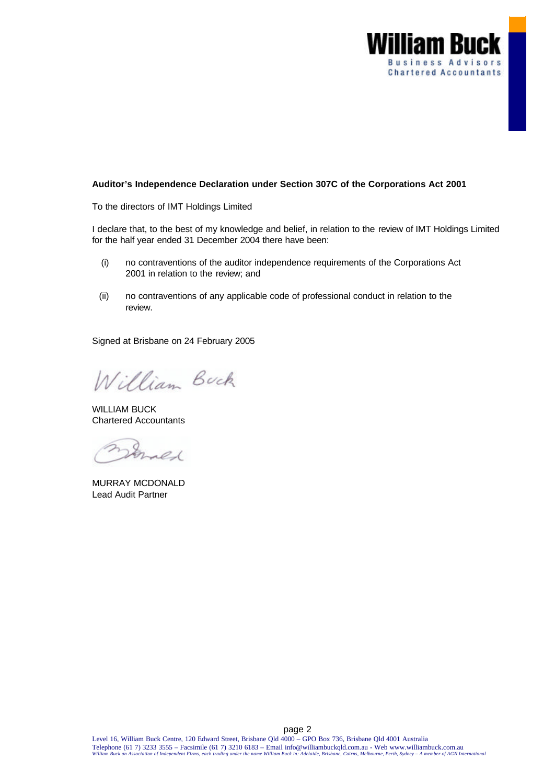

## **Auditor's Independence Declaration under Section 307C of the Corporations Act 2001**

To the directors of IMT Holdings Limited

I declare that, to the best of my knowledge and belief, in relation to the review of IMT Holdings Limited for the half year ended 31 December 2004 there have been:

- (i) no contraventions of the auditor independence requirements of the Corporations Act 2001 in relation to the review; and
- (ii) no contraventions of any applicable code of professional conduct in relation to the review.

Signed at Brisbane on 24 February 2005

William Buck

WILLIAM BUCK Chartered Accountants

Erned

MURRAY MCDONALD Lead Audit Partner

page 2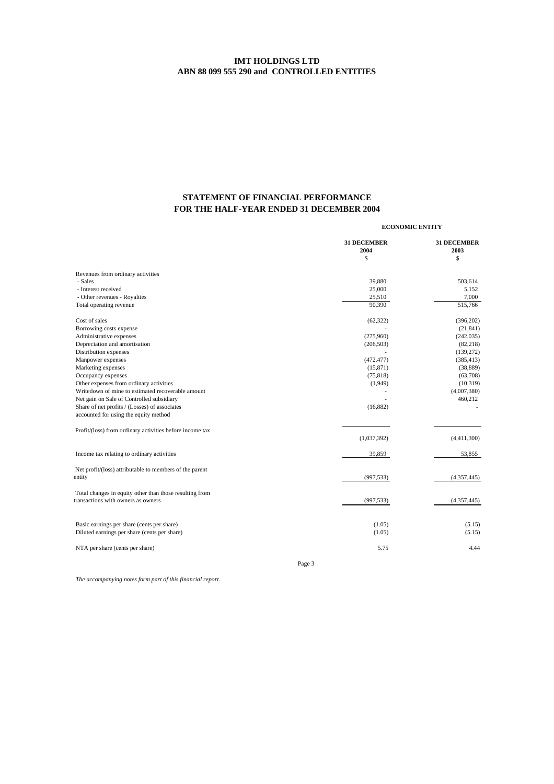# **STATEMENT OF FINANCIAL PERFORMANCE FOR THE HALF-YEAR ENDED 31 DECEMBER 2004**

|                                                          | <b>ECONOMIC ENTITY</b>     |                            |
|----------------------------------------------------------|----------------------------|----------------------------|
|                                                          | <b>31 DECEMBER</b><br>2004 | <b>31 DECEMBER</b><br>2003 |
|                                                          | \$                         | \$                         |
| Revenues from ordinary activities                        |                            |                            |
| - Sales                                                  | 39.880                     | 503,614                    |
| - Interest received                                      | 25,000                     | 5,152                      |
| - Other revenues - Royalties                             | 25,510                     | 7,000                      |
| Total operating revenue                                  | 90,390                     | 515,766                    |
| Cost of sales                                            | (62, 322)                  | (396, 202)                 |
| Borrowing costs expense                                  |                            | (21, 841)                  |
| Administrative expenses                                  | (275,960)                  | (242, 035)                 |
| Depreciation and amortisation                            | (206, 503)                 | (82, 218)                  |
| Distribution expenses                                    |                            | (139, 272)                 |
| Manpower expenses                                        | (472, 477)                 | (385, 413)                 |
| Marketing expenses                                       | (15, 871)                  | (38, 889)                  |
| Occupancy expenses                                       | (75, 818)                  | (63,708)                   |
| Other expenses from ordinary activities                  | (1,949)                    | (10, 319)                  |
| Writedown of mine to estimated recoverable amount        |                            | (4,007,380)                |
| Net gain on Sale of Controlled subsidiary                |                            | 460,212                    |
| Share of net profits / (Losses) of associates            | (16, 882)                  |                            |
| accounted for using the equity method                    |                            |                            |
| Profit/(loss) from ordinary activities before income tax |                            |                            |
|                                                          | (1,037,392)                | (4,411,300)                |
| Income tax relating to ordinary activities               | 39,859                     | 53,855                     |
| Net profit/(loss) attributable to members of the parent  |                            |                            |
| entity                                                   | (997, 533)                 | (4,357,445)                |
|                                                          |                            |                            |
| Total changes in equity other than those resulting from  |                            |                            |
| transactions with owners as owners                       | (997, 533)                 | (4,357,445)                |
| Basic earnings per share (cents per share)               | (1.05)                     | (5.15)                     |
| Diluted earnings per share (cents per share)             | (1.05)                     | (5.15)                     |
|                                                          |                            |                            |
| NTA per share (cents per share)                          | 5.75                       | 4.44                       |
|                                                          | Page 3                     |                            |

*The accompanying notes form part of this financial report.*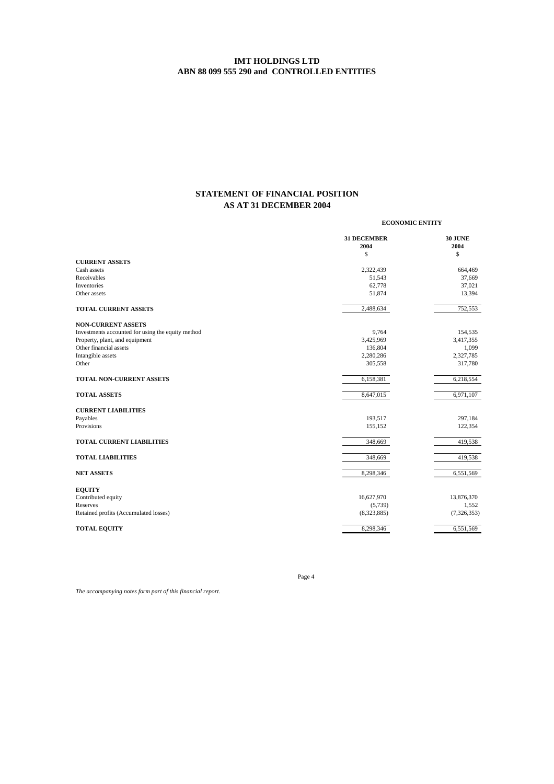# **STATEMENT OF FINANCIAL POSITION AS AT 31 DECEMBER 2004**

**ECONOMIC ENTITY**

|                                                   | <b>31 DECEMBER</b> | <b>30 JUNE</b> |
|---------------------------------------------------|--------------------|----------------|
|                                                   | 2004               | 2004           |
|                                                   | \$                 | \$             |
| <b>CURRENT ASSETS</b>                             |                    |                |
| Cash assets                                       | 2,322,439          | 664,469        |
| Receivables                                       | 51,543             | 37,669         |
| Inventories                                       | 62,778             | 37,021         |
| Other assets                                      | 51,874             | 13,394         |
| <b>TOTAL CURRENT ASSETS</b>                       | 2,488,634          | 752,553        |
| <b>NON-CURRENT ASSETS</b>                         |                    |                |
| Investments accounted for using the equity method | 9,764              | 154,535        |
| Property, plant, and equipment                    | 3,425,969          | 3,417,355      |
| Other financial assets                            | 136,804            | 1,099          |
| Intangible assets                                 | 2,280,286          | 2,327,785      |
| Other                                             | 305,558            | 317,780        |
| TOTAL NON-CURRENT ASSETS                          | 6,158,381          | 6,218,554      |
| <b>TOTAL ASSETS</b>                               | 8,647,015          | 6,971,107      |
| <b>CURRENT LIABILITIES</b>                        |                    |                |
| Payables                                          | 193,517            | 297,184        |
| Provisions                                        | 155,152            | 122,354        |
| <b>TOTAL CURRENT LIABILITIES</b>                  | 348,669            | 419,538        |
| <b>TOTAL LIABILITIES</b>                          | 348,669            | 419,538        |
| <b>NET ASSETS</b>                                 | 8,298,346          | 6,551,569      |
| <b>EQUITY</b>                                     |                    |                |
| Contributed equity                                | 16,627,970         | 13,876,370     |
| Reserves                                          | (5,739)            | 1,552          |
| Retained profits (Accumulated losses)             | (8,323,885)        | (7,326,353)    |
| <b>TOTAL EQUITY</b>                               | 8,298,346          | 6,551,569      |
|                                                   |                    |                |

*The accompanying notes form part of this financial report.*

Page 4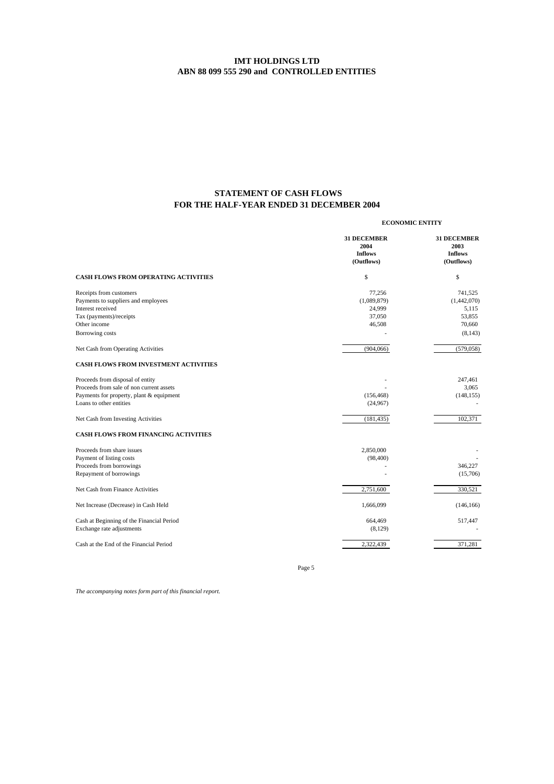# **FOR THE HALF-YEAR ENDED 31 DECEMBER 2004 STATEMENT OF CASH FLOWS**

|                                                                                                                                                     | <b>ECONOMIC ENTITY</b>                                     |                                                                 |  |
|-----------------------------------------------------------------------------------------------------------------------------------------------------|------------------------------------------------------------|-----------------------------------------------------------------|--|
|                                                                                                                                                     | <b>31 DECEMBER</b><br>2004<br><b>Inflows</b><br>(Outflows) | <b>31 DECEMBER</b><br>2003<br><b>Inflows</b><br>(Outflows)      |  |
| <b>CASH FLOWS FROM OPERATING ACTIVITIES</b>                                                                                                         | \$                                                         | \$                                                              |  |
| Receipts from customers<br>Payments to suppliers and employees<br>Interest received<br>Tax (payments)/receipts<br>Other income<br>Borrowing costs   | 77,256<br>(1,089,879)<br>24,999<br>37,050<br>46,508        | 741,525<br>(1,442,070)<br>5,115<br>53,855<br>70,660<br>(8, 143) |  |
| Net Cash from Operating Activities                                                                                                                  | (904, 066)                                                 | (579, 058)                                                      |  |
| <b>CASH FLOWS FROM INVESTMENT ACTIVITIES</b>                                                                                                        |                                                            |                                                                 |  |
| Proceeds from disposal of entity<br>Proceeds from sale of non current assets<br>Payments for property, plant & equipment<br>Loans to other entities | (156, 468)<br>(24,967)                                     | 247,461<br>3,065<br>(148, 155)                                  |  |
| Net Cash from Investing Activities                                                                                                                  | (181, 435)                                                 | 102,371                                                         |  |
| <b>CASH FLOWS FROM FINANCING ACTIVITIES</b>                                                                                                         |                                                            |                                                                 |  |
| Proceeds from share issues<br>Payment of listing costs<br>Proceeds from borrowings<br>Repayment of borrowings                                       | 2,850,000<br>(98, 400)                                     | 346,227<br>(15,706)                                             |  |
| Net Cash from Finance Activities                                                                                                                    | 2,751,600                                                  | 330,521                                                         |  |
| Net Increase (Decrease) in Cash Held                                                                                                                | 1,666,099                                                  | (146, 166)                                                      |  |
| Cash at Beginning of the Financial Period<br>Exchange rate adjustments                                                                              | 664,469<br>(8,129)                                         | 517,447                                                         |  |
| Cash at the End of the Financial Period                                                                                                             | 2,322,439                                                  | 371,281                                                         |  |

Page 5

*The accompanying notes form part of this financial report.*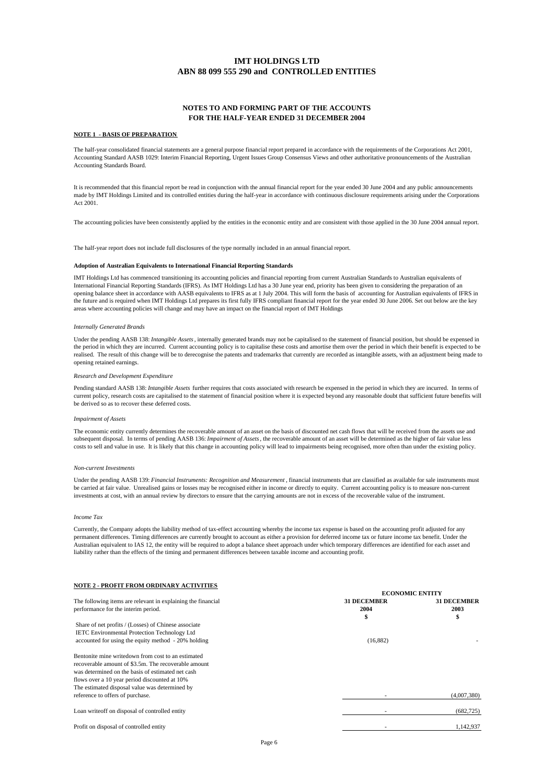### **NOTES TO AND FORMING PART OF THE ACCOUNTS FOR THE HALF-YEAR ENDED 31 DECEMBER 2004**

#### **NOTE 1 - BASIS OF PREPARATION**

The half-year consolidated financial statements are a general purpose financial report prepared in accordance with the requirements of the Corporations Act 2001, Accounting Standard AASB 1029: Interim Financial Reporting, Urgent Issues Group Consensus Views and other authoritative pronouncements of the Australian Accounting Standards Board.

It is recommended that this financial report be read in conjunction with the annual financial report for the year ended 30 June 2004 and any public announcements made by IMT Holdings Limited and its controlled entities during the half-year in accordance with continuous disclosure requirements arising under the Corporations Act 2001.

The accounting policies have been consistently applied by the entities in the economic entity and are consistent with those applied in the 30 June 2004 annual report.

The half-year report does not include full disclosures of the type normally included in an annual financial report.

#### **Adoption of Australian Equivalents to International Financial Reporting Standards**

IMT Holdings Ltd has commenced transitioning its accounting policies and financial reporting from current Australian Standards to Australian equivalents of International Financial Reporting Standards (IFRS). As IMT Holdings Ltd has a 30 June year end, priority has been given to considering the preparation of an opening balance sheet in accordance with AASB equivalents to IFRS as at 1 July 2004. This will form the basis of accounting for Australian equivalents of IFRS in the future and is required when IMT Holdings Ltd prepares its first fully IFRS compliant financial report for the year ended 30 June 2006. Set out below are the key areas where accounting policies will change and may have an impact on the financial report of IMT Holdings

#### *Internally Generated Brands*

Under the pending AASB 138: *Intangible Assets*, internally generated brands may not be capitalised to the statement of financial position, but should be expensed in the period in which they are incurred. Current accounting policy is to capitalise these costs and amortise them over the period in which their benefit is expected to be realised. The result of this change will be to derecognise the patents and trademarks that currently are recorded as intangible assets, with an adjustment being made to opening retained earnings.

#### *Research and Development Expenditure*

Pending standard AASB 138: *Intangible Assets* further requires that costs associated with research be expensed in the period in which they are incurred. In terms of current policy, research costs are capitalised to the statement of financial position where it is expected beyond any reasonable doubt that sufficient future benefits will be derived so as to recover these deferred costs.

#### *Impairment of Assets*

The economic entity currently determines the recoverable amount of an asset on the basis of discounted net cash flows that will be received from the assets use and subsequent disposal. In terms of pending AASB 136: *Impairment of Assets*, the recoverable amount of an asset will be determined as the higher of fair value less costs to sell and value in use. It is likely that this change in accounting policy will lead to impairments being recognised, more often than under the existing policy.

#### *Non-current Investments*

Under the pending AASB 139: *Financial Instruments: Recognition and Measurement* , financial instruments that are classified as available for sale instruments must be carried at fair value. Unrealised gains or losses may be recognised either in income or directly to equity. Current accounting policy is to measure non-current investments at cost, with an annual review by directors to ensure that the carrying amounts are not in excess of the recoverable value of the instrument.

#### *Income Tax*

Currently, the Company adopts the liability method of tax-effect accounting whereby the income tax expense is based on the accounting profit adjusted for any permanent differences. Timing differences are currently brought to account as either a provision for deferred income tax or future income tax benefit. Under the Australian equivalent to IAS 12, the entity will be required to adopt a balance sheet approach under which temporary differences are identified for each asset and liability rather than the effects of the timing and permanent differences between taxable income and accounting profit.

### **NOTE 2 - PROFIT FROM ORDINARY ACTIVITIES**

| <b>31 DECEMBER</b><br>2004<br>\$ | <b>31 DECEMBER</b><br>2003<br>\$ |
|----------------------------------|----------------------------------|
|                                  |                                  |
|                                  |                                  |
|                                  |                                  |
|                                  |                                  |
|                                  |                                  |
| (16,882)                         |                                  |
|                                  |                                  |
|                                  |                                  |
|                                  |                                  |
|                                  |                                  |
|                                  |                                  |
|                                  | (4,007,380)                      |
|                                  | (682, 725)                       |
|                                  | 1.142.937                        |
|                                  |                                  |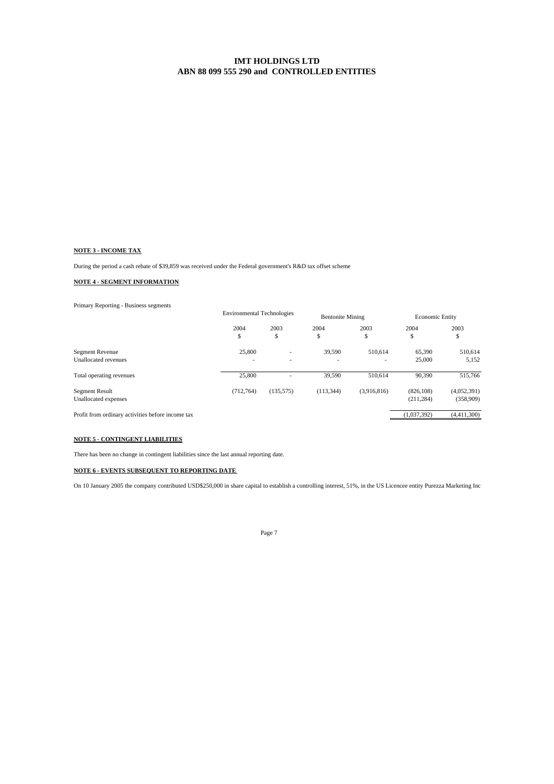### **NOTE 3 - INCOME TAX**

During the period a cash rebate of \$39,859 was received under the Federal government's R&D tax offset scheme

### **NOTE 4 - SEGMENT INFORMATION**

Primary Reporting - Business segments

|                                                   |           | <b>Environmental Technologies</b> |            | <b>Bentonite Mining</b> |             | <b>Economic Entity</b> |  |
|---------------------------------------------------|-----------|-----------------------------------|------------|-------------------------|-------------|------------------------|--|
|                                                   | 2004      | 2003                              | 2004       | 2003                    | 2004        | 2003                   |  |
|                                                   | \$        | \$                                | \$         | \$                      | ¢<br>C      | \$                     |  |
| Segment Revenue                                   | 25,800    |                                   | 39,590     | 510,614                 | 65,390      | 510,614                |  |
| Unallocated revenues                              |           |                                   |            |                         | 25,000      | 5,152                  |  |
| Total operating revenues                          | 25,800    |                                   | 39.590     | 510,614                 | 90.390      | 515,766                |  |
| <b>Segment Result</b>                             | (712.764) | (135, 575)                        | (113, 344) | (3,916,816)             | (826, 108)  | (4,052,391)            |  |
| Unallocated expenses                              |           |                                   |            |                         | (211, 284)  | (358,909)              |  |
| Profit from ordinary activities before income tax |           |                                   |            |                         | (1,037,392) | (4,411,300)            |  |
|                                                   |           |                                   |            |                         |             |                        |  |

### **NOTE 5 - CONTINGENT LIABILITIES**

There has been no change in contingent liabilities since the last annual reporting date.

### **NOTE 6 - EVENTS SUBSEQUENT TO REPORTING DATE**

On 10 January 2005 the company contributed USD\$250,000 in share capital to establish a controlling interest, 51%, in the US Licencee entity Purezza Marketing Inc

Page 7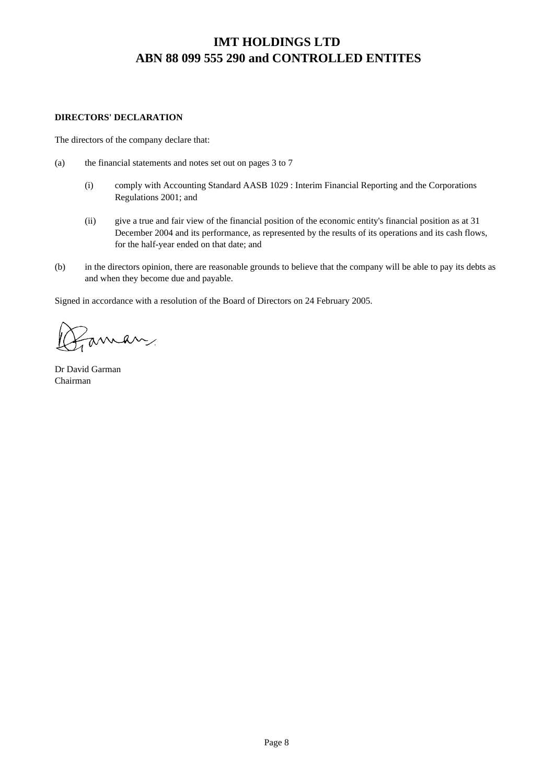# **DIRECTORS' DECLARATION**

The directors of the company declare that:

- (a) the financial statements and notes set out on pages 3 to 7
	- (i) comply with Accounting Standard AASB 1029 : Interim Financial Reporting and the Corporations Regulations 2001; and
	- (ii) give a true and fair view of the financial position of the economic entity's financial position as at 31 December 2004 and its performance, as represented by the results of its operations and its cash flows, for the half-year ended on that date; and
- (b) in the directors opinion, there are reasonable grounds to believe that the company will be able to pay its debts as and when they become due and payable.

Signed in accordance with a resolution of the Board of Directors on 24 February 2005.

aman

Dr David Garman Chairman